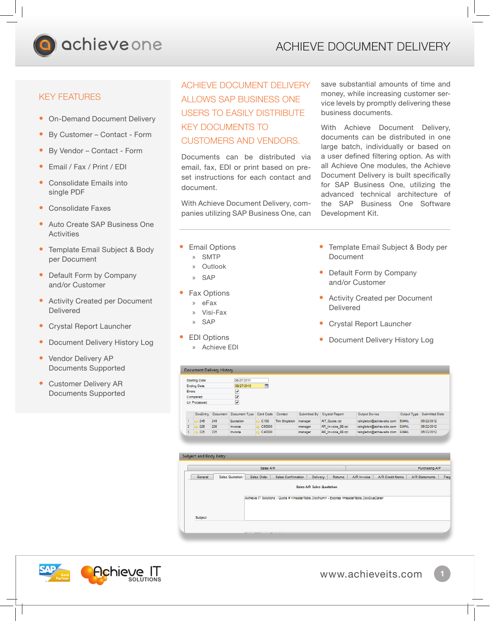

## KEY FEATURES

- On-Demand Document Delivery
- By Customer Contact Form
- By Vendor Contact Form
- Email / Fax / Print / EDI
- Consolidate Emails into single PDF
- Consolidate Faxes
- Auto Create SAP Business One **Activities**
- Template Email Subject & Body per Document
- Default Form by Company and/or Customer
- Activity Created per Document Delivered
- Crystal Report Launcher
- **Document Delivery History Log**
- Vendor Delivery AP Documents Supported
- Customer Delivery AR Documents Supported

## ACHIEVE DOCUMENT DELIVERY ALLOWS SAP BUSINESS ONE USERS TO EASILY DISTRIBUTE KEY DOCUMENTS TO CUSTOMERS AND VENDORS.

Documents can be distributed via email, fax, EDI or print based on preset instructions for each contact and document.

With Achieve Document Delivery, companies utilizing SAP Business One, can save substantial amounts of time and money, while increasing customer service levels by promptly delivering these business documents.

With Achieve Document Delivery, documents can be distributed in one large batch, individually or based on a user defined filtering option. As with all Achieve One modules, the Achieve Document Delivery is built specifically for SAP Business One, utilizing the advanced technical architecture of the SAP Business One Software Development Kit.

- **Email Options** 
	- » SMTP
	- » Outlook
	- » SAP
- **Fax Options** 
	- » eFax
	- » Visi-Fax
	- » SAP
- **EDI Options** » Achieve EDI

- Template Email Subject & Body per Document
- Default Form by Company and/or Customer
- Activity Created per Document Delivered
- Crystal Report Launcher
- Document Delivery History Log

tsingleton@achieveits.com EMAIL

|               |                      | <b>Document Delivery History</b> |                                                   |                      |                      |         |                             |                                 |              |                            |
|---------------|----------------------|----------------------------------|---------------------------------------------------|----------------------|----------------------|---------|-----------------------------|---------------------------------|--------------|----------------------------|
|               | <b>Starting Date</b> |                                  | 08/27/2011                                        |                      |                      |         |                             |                                 |              |                            |
|               | <b>Ending Date</b>   |                                  | 08/27/2013                                        | П                    |                      |         |                             |                                 |              |                            |
| <b>Errors</b> |                      |                                  | V                                                 |                      |                      |         |                             |                                 |              |                            |
|               | Completed            |                                  | V                                                 |                      |                      |         |                             |                                 |              |                            |
|               | <b>Un Processed</b>  |                                  | V                                                 |                      |                      |         |                             |                                 |              |                            |
|               |                      |                                  |                                                   |                      |                      |         |                             |                                 |              |                            |
|               |                      |                                  | DocEntry Document Document Type Card Code Contact |                      |                      |         | Submitted By Crystal Report | Output Device                   |              | Output Type Submitted Date |
|               | 249                  | 249                              | Quotation                                         | $\Rightarrow$ C100   | <b>Tim Singleton</b> | manager | AIT Quote.rpt               | tsingleton@achieveits.com       | <b>EMAIL</b> | 06/22/2012                 |
|               | 226                  | 226                              | Invoice                                           | $\rightarrow$ C50000 |                      | manager | AR Invoice 88.rpt           | tsingleton@achieveits.com       | <b>EMAIL</b> | 06/22/2012                 |
| 3             | 225                  | 225                              | Invoice                                           | C40000               |                      | manager | AR Invoice 88.rpt           | tsingleton@achieveits.com EMAIL |              | 06/22/2012                 |

AR\_Invoice\_88.rpt

| Sales A/R |                        |             |                           |          |         |             | Purchasing A/P  |                |       |  |  |
|-----------|------------------------|-------------|---------------------------|----------|---------|-------------|-----------------|----------------|-------|--|--|
| General   | <b>Sales Quotation</b> | Sales Order | <b>Sales Confirmation</b> | Delivery | Returns | A/R Invoice | A/R Credit Memo | A/R Statements | Freig |  |  |
| Subject   |                        |             |                           |          |         |             |                 |                |       |  |  |